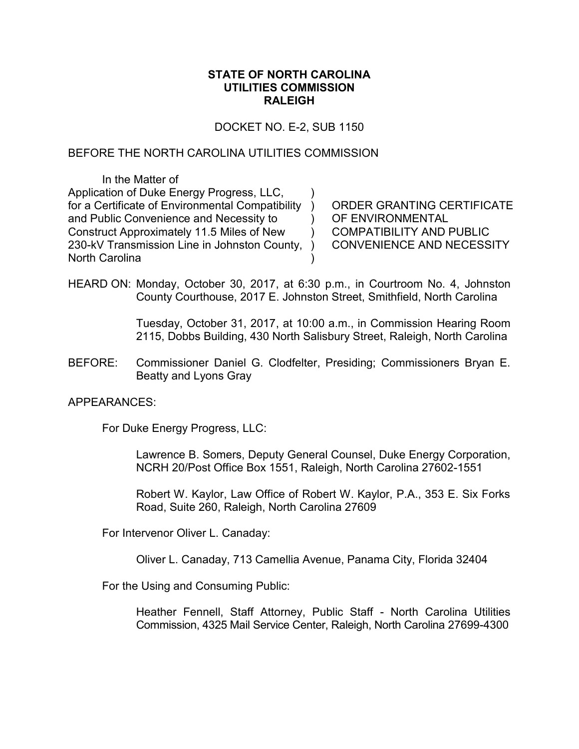### **STATE OF NORTH CAROLINA UTILITIES COMMISSION RALEIGH**

DOCKET NO. E-2, SUB 1150

)

) )

)

### BEFORE THE NORTH CAROLINA UTILITIES COMMISSION

In the Matter of Application of Duke Energy Progress, LLC, for a Certificate of Environmental Compatibility ) and Public Convenience and Necessity to Construct Approximately 11.5 Miles of New 230-kV Transmission Line in Johnston County, ) North Carolina

ORDER GRANTING CERTIFICATE OF ENVIRONMENTAL COMPATIBILITY AND PUBLIC CONVENIENCE AND NECESSITY

HEARD ON: Monday, October 30, 2017, at 6:30 p.m., in Courtroom No. 4, Johnston County Courthouse, 2017 E. Johnston Street, Smithfield, North Carolina

> Tuesday, October 31, 2017, at 10:00 a.m., in Commission Hearing Room 2115, Dobbs Building, 430 North Salisbury Street, Raleigh, North Carolina

BEFORE: Commissioner Daniel G. Clodfelter, Presiding; Commissioners Bryan E. Beatty and Lyons Gray

APPEARANCES:

For Duke Energy Progress, LLC:

Lawrence B. Somers, Deputy General Counsel, Duke Energy Corporation, NCRH 20/Post Office Box 1551, Raleigh, North Carolina 27602-1551

Robert W. Kaylor, Law Office of Robert W. Kaylor, P.A., 353 E. Six Forks Road, Suite 260, Raleigh, North Carolina 27609

For Intervenor Oliver L. Canaday:

Oliver L. Canaday, 713 Camellia Avenue, Panama City, Florida 32404

For the Using and Consuming Public:

Heather Fennell, Staff Attorney, Public Staff - North Carolina Utilities Commission, 4325 Mail Service Center, Raleigh, North Carolina 27699-4300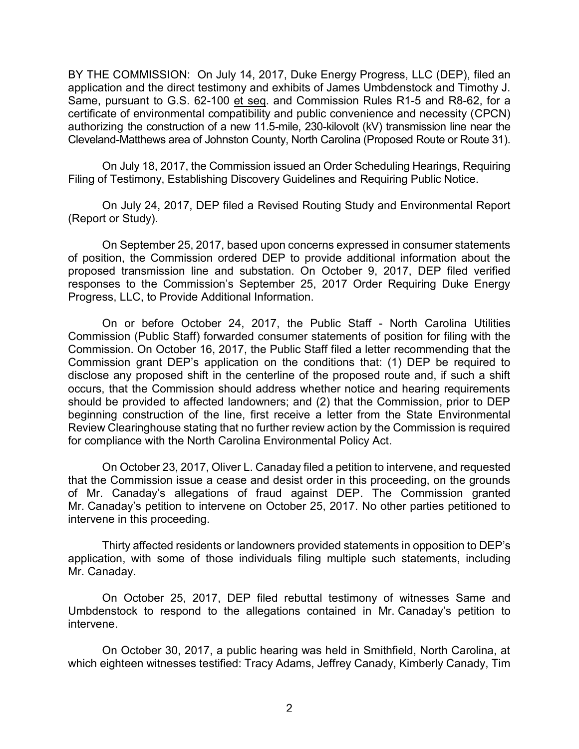BY THE COMMISSION: On July 14, 2017, Duke Energy Progress, LLC (DEP), filed an application and the direct testimony and exhibits of James Umbdenstock and Timothy J. Same, pursuant to G.S. 62-100 et seq. and Commission Rules R1-5 and R8-62, for a certificate of environmental compatibility and public convenience and necessity (CPCN) authorizing the construction of a new 11.5-mile, 230-kilovolt (kV) transmission line near the Cleveland-Matthews area of Johnston County, North Carolina (Proposed Route or Route 31).

On July 18, 2017, the Commission issued an Order Scheduling Hearings, Requiring Filing of Testimony, Establishing Discovery Guidelines and Requiring Public Notice.

On July 24, 2017, DEP filed a Revised Routing Study and Environmental Report (Report or Study).

On September 25, 2017, based upon concerns expressed in consumer statements of position, the Commission ordered DEP to provide additional information about the proposed transmission line and substation. On October 9, 2017, DEP filed verified responses to the Commission's September 25, 2017 Order Requiring Duke Energy Progress, LLC, to Provide Additional Information.

On or before October 24, 2017, the Public Staff - North Carolina Utilities Commission (Public Staff) forwarded consumer statements of position for filing with the Commission. On October 16, 2017, the Public Staff filed a letter recommending that the Commission grant DEP's application on the conditions that: (1) DEP be required to disclose any proposed shift in the centerline of the proposed route and, if such a shift occurs, that the Commission should address whether notice and hearing requirements should be provided to affected landowners; and (2) that the Commission, prior to DEP beginning construction of the line, first receive a letter from the State Environmental Review Clearinghouse stating that no further review action by the Commission is required for compliance with the North Carolina Environmental Policy Act.

On October 23, 2017, Oliver L. Canaday filed a petition to intervene, and requested that the Commission issue a cease and desist order in this proceeding, on the grounds of Mr. Canaday's allegations of fraud against DEP. The Commission granted Mr. Canaday's petition to intervene on October 25, 2017. No other parties petitioned to intervene in this proceeding.

Thirty affected residents or landowners provided statements in opposition to DEP's application, with some of those individuals filing multiple such statements, including Mr. Canaday.

On October 25, 2017, DEP filed rebuttal testimony of witnesses Same and Umbdenstock to respond to the allegations contained in Mr. Canaday's petition to intervene.

On October 30, 2017, a public hearing was held in Smithfield, North Carolina, at which eighteen witnesses testified: Tracy Adams, Jeffrey Canady, Kimberly Canady, Tim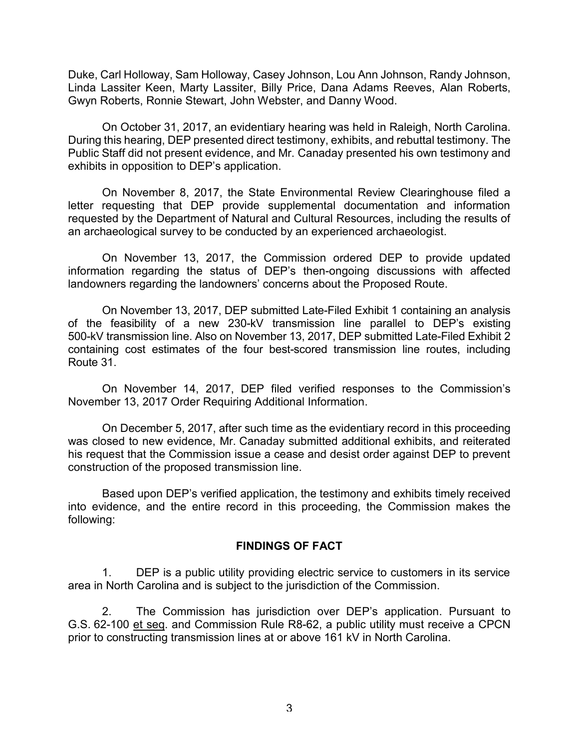Duke, Carl Holloway, Sam Holloway, Casey Johnson, Lou Ann Johnson, Randy Johnson, Linda Lassiter Keen, Marty Lassiter, Billy Price, Dana Adams Reeves, Alan Roberts, Gwyn Roberts, Ronnie Stewart, John Webster, and Danny Wood.

On October 31, 2017, an evidentiary hearing was held in Raleigh, North Carolina. During this hearing, DEP presented direct testimony, exhibits, and rebuttal testimony. The Public Staff did not present evidence, and Mr. Canaday presented his own testimony and exhibits in opposition to DEP's application.

On November 8, 2017, the State Environmental Review Clearinghouse filed a letter requesting that DEP provide supplemental documentation and information requested by the Department of Natural and Cultural Resources, including the results of an archaeological survey to be conducted by an experienced archaeologist.

On November 13, 2017, the Commission ordered DEP to provide updated information regarding the status of DEP's then-ongoing discussions with affected landowners regarding the landowners' concerns about the Proposed Route.

On November 13, 2017, DEP submitted Late-Filed Exhibit 1 containing an analysis of the feasibility of a new 230-kV transmission line parallel to DEP's existing 500-kV transmission line. Also on November 13, 2017, DEP submitted Late-Filed Exhibit 2 containing cost estimates of the four best-scored transmission line routes, including Route 31.

On November 14, 2017, DEP filed verified responses to the Commission's November 13, 2017 Order Requiring Additional Information.

On December 5, 2017, after such time as the evidentiary record in this proceeding was closed to new evidence, Mr. Canaday submitted additional exhibits, and reiterated his request that the Commission issue a cease and desist order against DEP to prevent construction of the proposed transmission line.

Based upon DEP's verified application, the testimony and exhibits timely received into evidence, and the entire record in this proceeding, the Commission makes the following:

### **FINDINGS OF FACT**

1. DEP is a public utility providing electric service to customers in its service area in North Carolina and is subject to the jurisdiction of the Commission.

2. The Commission has jurisdiction over DEP's application. Pursuant to G.S. 62-100 et seq. and Commission Rule R8-62, a public utility must receive a CPCN prior to constructing transmission lines at or above 161 kV in North Carolina.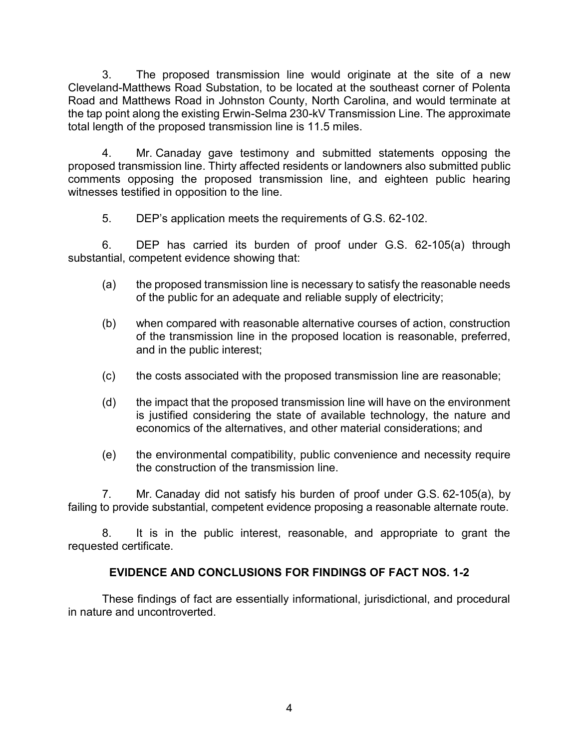3. The proposed transmission line would originate at the site of a new Cleveland-Matthews Road Substation, to be located at the southeast corner of Polenta Road and Matthews Road in Johnston County, North Carolina, and would terminate at the tap point along the existing Erwin-Selma 230-kV Transmission Line. The approximate total length of the proposed transmission line is 11.5 miles.

4. Mr. Canaday gave testimony and submitted statements opposing the proposed transmission line. Thirty affected residents or landowners also submitted public comments opposing the proposed transmission line, and eighteen public hearing witnesses testified in opposition to the line.

5. DEP's application meets the requirements of G.S. 62-102.

6. DEP has carried its burden of proof under G.S. 62-105(a) through substantial, competent evidence showing that:

- (a) the proposed transmission line is necessary to satisfy the reasonable needs of the public for an adequate and reliable supply of electricity;
- (b) when compared with reasonable alternative courses of action, construction of the transmission line in the proposed location is reasonable, preferred, and in the public interest;
- (c) the costs associated with the proposed transmission line are reasonable;
- (d) the impact that the proposed transmission line will have on the environment is justified considering the state of available technology, the nature and economics of the alternatives, and other material considerations; and
- (e) the environmental compatibility, public convenience and necessity require the construction of the transmission line.

7. Mr. Canaday did not satisfy his burden of proof under G.S. 62-105(a), by failing to provide substantial, competent evidence proposing a reasonable alternate route.

8. It is in the public interest, reasonable, and appropriate to grant the requested certificate.

# **EVIDENCE AND CONCLUSIONS FOR FINDINGS OF FACT NOS. 1-2**

These findings of fact are essentially informational, jurisdictional, and procedural in nature and uncontroverted.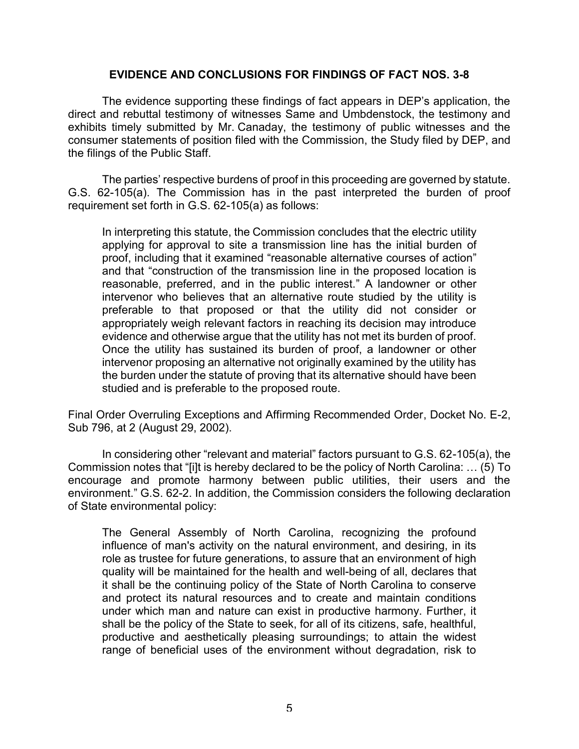### **EVIDENCE AND CONCLUSIONS FOR FINDINGS OF FACT NOS. 3-8**

The evidence supporting these findings of fact appears in DEP's application, the direct and rebuttal testimony of witnesses Same and Umbdenstock, the testimony and exhibits timely submitted by Mr. Canaday, the testimony of public witnesses and the consumer statements of position filed with the Commission, the Study filed by DEP, and the filings of the Public Staff.

The parties' respective burdens of proof in this proceeding are governed by statute. G.S. 62-105(a). The Commission has in the past interpreted the burden of proof requirement set forth in G.S. 62-105(a) as follows:

In interpreting this statute, the Commission concludes that the electric utility applying for approval to site a transmission line has the initial burden of proof, including that it examined "reasonable alternative courses of action" and that "construction of the transmission line in the proposed location is reasonable, preferred, and in the public interest." A landowner or other intervenor who believes that an alternative route studied by the utility is preferable to that proposed or that the utility did not consider or appropriately weigh relevant factors in reaching its decision may introduce evidence and otherwise argue that the utility has not met its burden of proof. Once the utility has sustained its burden of proof, a landowner or other intervenor proposing an alternative not originally examined by the utility has the burden under the statute of proving that its alternative should have been studied and is preferable to the proposed route.

Final Order Overruling Exceptions and Affirming Recommended Order, Docket No. E-2, Sub 796, at 2 (August 29, 2002).

In considering other "relevant and material" factors pursuant to G.S. 62-105(a), the Commission notes that "[i]t is hereby declared to be the policy of North Carolina: … (5) To encourage and promote harmony between public utilities, their users and the environment." G.S. 62-2. In addition, the Commission considers the following declaration of State environmental policy:

The General Assembly of North Carolina, recognizing the profound influence of man's activity on the natural environment, and desiring, in its role as trustee for future generations, to assure that an environment of high quality will be maintained for the health and well-being of all, declares that it shall be the continuing policy of the State of North Carolina to conserve and protect its natural resources and to create and maintain conditions under which man and nature can exist in productive harmony. Further, it shall be the policy of the State to seek, for all of its citizens, safe, healthful, productive and aesthetically pleasing surroundings; to attain the widest range of beneficial uses of the environment without degradation, risk to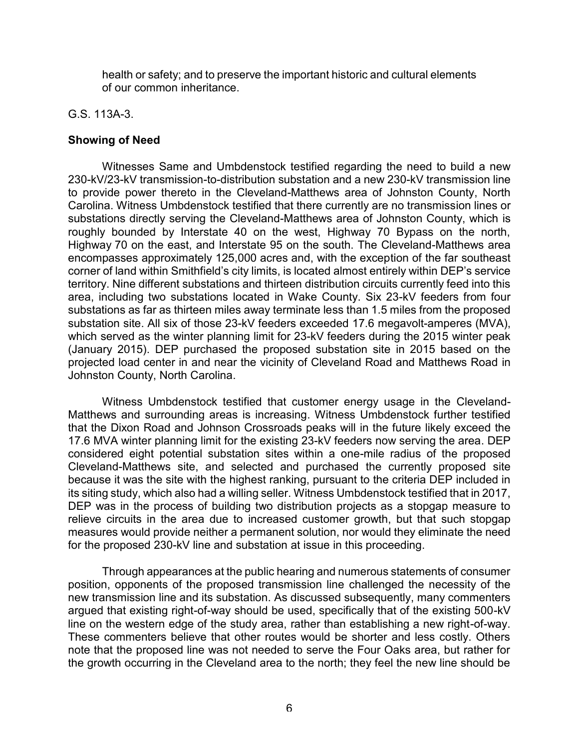health or safety; and to preserve the important historic and cultural elements of our common inheritance.

### G.S. 113A-3.

## **Showing of Need**

Witnesses Same and Umbdenstock testified regarding the need to build a new 230-kV/23-kV transmission-to-distribution substation and a new 230-kV transmission line to provide power thereto in the Cleveland-Matthews area of Johnston County, North Carolina. Witness Umbdenstock testified that there currently are no transmission lines or substations directly serving the Cleveland-Matthews area of Johnston County, which is roughly bounded by Interstate 40 on the west, Highway 70 Bypass on the north, Highway 70 on the east, and Interstate 95 on the south. The Cleveland-Matthews area encompasses approximately 125,000 acres and, with the exception of the far southeast corner of land within Smithfield's city limits, is located almost entirely within DEP's service territory. Nine different substations and thirteen distribution circuits currently feed into this area, including two substations located in Wake County. Six 23-kV feeders from four substations as far as thirteen miles away terminate less than 1.5 miles from the proposed substation site. All six of those 23-kV feeders exceeded 17.6 megavolt-amperes (MVA), which served as the winter planning limit for 23-kV feeders during the 2015 winter peak (January 2015). DEP purchased the proposed substation site in 2015 based on the projected load center in and near the vicinity of Cleveland Road and Matthews Road in Johnston County, North Carolina.

Witness Umbdenstock testified that customer energy usage in the Cleveland-Matthews and surrounding areas is increasing. Witness Umbdenstock further testified that the Dixon Road and Johnson Crossroads peaks will in the future likely exceed the 17.6 MVA winter planning limit for the existing 23-kV feeders now serving the area. DEP considered eight potential substation sites within a one-mile radius of the proposed Cleveland-Matthews site, and selected and purchased the currently proposed site because it was the site with the highest ranking, pursuant to the criteria DEP included in its siting study, which also had a willing seller. Witness Umbdenstock testified that in 2017, DEP was in the process of building two distribution projects as a stopgap measure to relieve circuits in the area due to increased customer growth, but that such stopgap measures would provide neither a permanent solution, nor would they eliminate the need for the proposed 230-kV line and substation at issue in this proceeding.

Through appearances at the public hearing and numerous statements of consumer position, opponents of the proposed transmission line challenged the necessity of the new transmission line and its substation. As discussed subsequently, many commenters argued that existing right-of-way should be used, specifically that of the existing 500-kV line on the western edge of the study area, rather than establishing a new right-of-way. These commenters believe that other routes would be shorter and less costly. Others note that the proposed line was not needed to serve the Four Oaks area, but rather for the growth occurring in the Cleveland area to the north; they feel the new line should be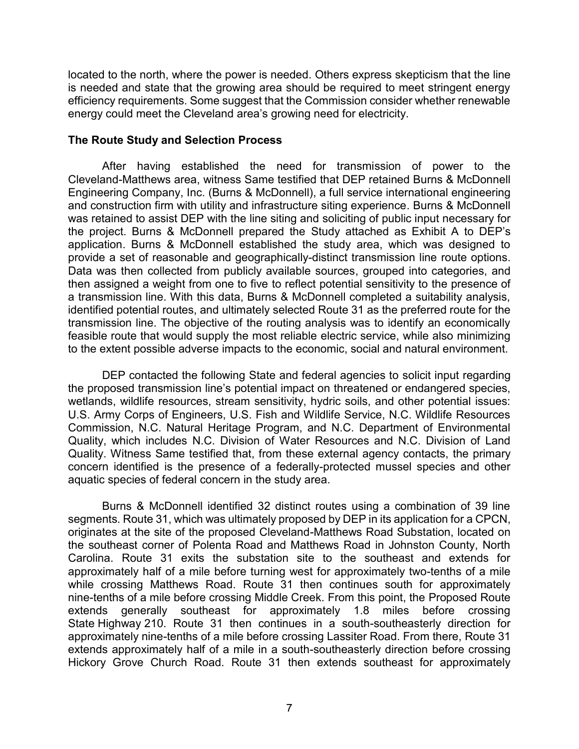located to the north, where the power is needed. Others express skepticism that the line is needed and state that the growing area should be required to meet stringent energy efficiency requirements. Some suggest that the Commission consider whether renewable energy could meet the Cleveland area's growing need for electricity.

### **The Route Study and Selection Process**

After having established the need for transmission of power to the Cleveland-Matthews area, witness Same testified that DEP retained Burns & McDonnell Engineering Company, Inc. (Burns & McDonnell), a full service international engineering and construction firm with utility and infrastructure siting experience. Burns & McDonnell was retained to assist DEP with the line siting and soliciting of public input necessary for the project. Burns & McDonnell prepared the Study attached as Exhibit A to DEP's application. Burns & McDonnell established the study area, which was designed to provide a set of reasonable and geographically-distinct transmission line route options. Data was then collected from publicly available sources, grouped into categories, and then assigned a weight from one to five to reflect potential sensitivity to the presence of a transmission line. With this data, Burns & McDonnell completed a suitability analysis, identified potential routes, and ultimately selected Route 31 as the preferred route for the transmission line. The objective of the routing analysis was to identify an economically feasible route that would supply the most reliable electric service, while also minimizing to the extent possible adverse impacts to the economic, social and natural environment.

DEP contacted the following State and federal agencies to solicit input regarding the proposed transmission line's potential impact on threatened or endangered species, wetlands, wildlife resources, stream sensitivity, hydric soils, and other potential issues: U.S. Army Corps of Engineers, U.S. Fish and Wildlife Service, N.C. Wildlife Resources Commission, N.C. Natural Heritage Program, and N.C. Department of Environmental Quality, which includes N.C. Division of Water Resources and N.C. Division of Land Quality. Witness Same testified that, from these external agency contacts, the primary concern identified is the presence of a federally-protected mussel species and other aquatic species of federal concern in the study area.

Burns & McDonnell identified 32 distinct routes using a combination of 39 line segments. Route 31, which was ultimately proposed by DEP in its application for a CPCN, originates at the site of the proposed Cleveland-Matthews Road Substation, located on the southeast corner of Polenta Road and Matthews Road in Johnston County, North Carolina. Route 31 exits the substation site to the southeast and extends for approximately half of a mile before turning west for approximately two-tenths of a mile while crossing Matthews Road. Route 31 then continues south for approximately nine-tenths of a mile before crossing Middle Creek. From this point, the Proposed Route extends generally southeast for approximately 1.8 miles before crossing State Highway 210. Route 31 then continues in a south-southeasterly direction for approximately nine-tenths of a mile before crossing Lassiter Road. From there, Route 31 extends approximately half of a mile in a south-southeasterly direction before crossing Hickory Grove Church Road. Route 31 then extends southeast for approximately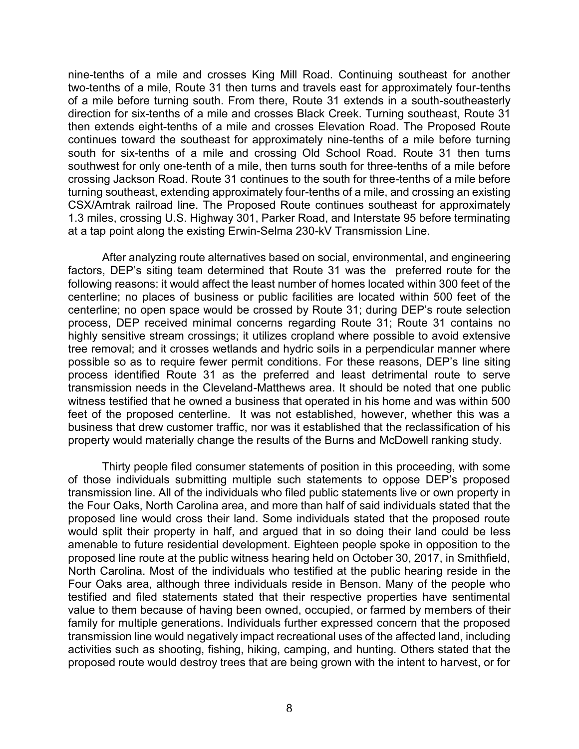nine-tenths of a mile and crosses King Mill Road. Continuing southeast for another two-tenths of a mile, Route 31 then turns and travels east for approximately four-tenths of a mile before turning south. From there, Route 31 extends in a south-southeasterly direction for six-tenths of a mile and crosses Black Creek. Turning southeast, Route 31 then extends eight-tenths of a mile and crosses Elevation Road. The Proposed Route continues toward the southeast for approximately nine-tenths of a mile before turning south for six-tenths of a mile and crossing Old School Road. Route 31 then turns southwest for only one-tenth of a mile, then turns south for three-tenths of a mile before crossing Jackson Road. Route 31 continues to the south for three-tenths of a mile before turning southeast, extending approximately four-tenths of a mile, and crossing an existing CSX/Amtrak railroad line. The Proposed Route continues southeast for approximately 1.3 miles, crossing U.S. Highway 301, Parker Road, and Interstate 95 before terminating at a tap point along the existing Erwin-Selma 230-kV Transmission Line.

After analyzing route alternatives based on social, environmental, and engineering factors, DEP's siting team determined that Route 31 was the preferred route for the following reasons: it would affect the least number of homes located within 300 feet of the centerline; no places of business or public facilities are located within 500 feet of the centerline; no open space would be crossed by Route 31; during DEP's route selection process, DEP received minimal concerns regarding Route 31; Route 31 contains no highly sensitive stream crossings; it utilizes cropland where possible to avoid extensive tree removal; and it crosses wetlands and hydric soils in a perpendicular manner where possible so as to require fewer permit conditions. For these reasons, DEP's line siting process identified Route 31 as the preferred and least detrimental route to serve transmission needs in the Cleveland-Matthews area. It should be noted that one public witness testified that he owned a business that operated in his home and was within 500 feet of the proposed centerline. It was not established, however, whether this was a business that drew customer traffic, nor was it established that the reclassification of his property would materially change the results of the Burns and McDowell ranking study.

Thirty people filed consumer statements of position in this proceeding, with some of those individuals submitting multiple such statements to oppose DEP's proposed transmission line. All of the individuals who filed public statements live or own property in the Four Oaks, North Carolina area, and more than half of said individuals stated that the proposed line would cross their land. Some individuals stated that the proposed route would split their property in half, and argued that in so doing their land could be less amenable to future residential development. Eighteen people spoke in opposition to the proposed line route at the public witness hearing held on October 30, 2017, in Smithfield, North Carolina. Most of the individuals who testified at the public hearing reside in the Four Oaks area, although three individuals reside in Benson. Many of the people who testified and filed statements stated that their respective properties have sentimental value to them because of having been owned, occupied, or farmed by members of their family for multiple generations. Individuals further expressed concern that the proposed transmission line would negatively impact recreational uses of the affected land, including activities such as shooting, fishing, hiking, camping, and hunting. Others stated that the proposed route would destroy trees that are being grown with the intent to harvest, or for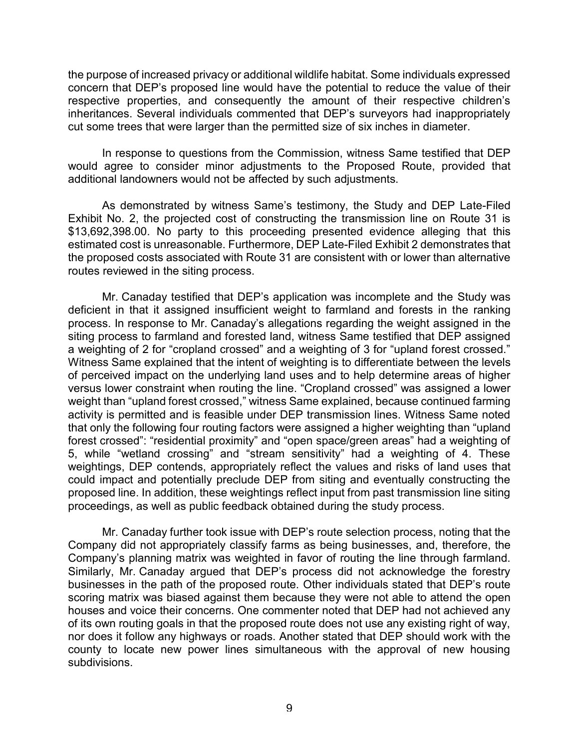the purpose of increased privacy or additional wildlife habitat. Some individuals expressed concern that DEP's proposed line would have the potential to reduce the value of their respective properties, and consequently the amount of their respective children's inheritances. Several individuals commented that DEP's surveyors had inappropriately cut some trees that were larger than the permitted size of six inches in diameter.

In response to questions from the Commission, witness Same testified that DEP would agree to consider minor adjustments to the Proposed Route, provided that additional landowners would not be affected by such adjustments.

As demonstrated by witness Same's testimony, the Study and DEP Late-Filed Exhibit No. 2, the projected cost of constructing the transmission line on Route 31 is \$13,692,398.00. No party to this proceeding presented evidence alleging that this estimated cost is unreasonable. Furthermore, DEP Late-Filed Exhibit 2 demonstrates that the proposed costs associated with Route 31 are consistent with or lower than alternative routes reviewed in the siting process.

Mr. Canaday testified that DEP's application was incomplete and the Study was deficient in that it assigned insufficient weight to farmland and forests in the ranking process. In response to Mr. Canaday's allegations regarding the weight assigned in the siting process to farmland and forested land, witness Same testified that DEP assigned a weighting of 2 for "cropland crossed" and a weighting of 3 for "upland forest crossed." Witness Same explained that the intent of weighting is to differentiate between the levels of perceived impact on the underlying land uses and to help determine areas of higher versus lower constraint when routing the line. "Cropland crossed" was assigned a lower weight than "upland forest crossed," witness Same explained, because continued farming activity is permitted and is feasible under DEP transmission lines. Witness Same noted that only the following four routing factors were assigned a higher weighting than "upland forest crossed": "residential proximity" and "open space/green areas" had a weighting of 5, while "wetland crossing" and "stream sensitivity" had a weighting of 4. These weightings, DEP contends, appropriately reflect the values and risks of land uses that could impact and potentially preclude DEP from siting and eventually constructing the proposed line. In addition, these weightings reflect input from past transmission line siting proceedings, as well as public feedback obtained during the study process.

Mr. Canaday further took issue with DEP's route selection process, noting that the Company did not appropriately classify farms as being businesses, and, therefore, the Company's planning matrix was weighted in favor of routing the line through farmland. Similarly, Mr. Canaday argued that DEP's process did not acknowledge the forestry businesses in the path of the proposed route. Other individuals stated that DEP's route scoring matrix was biased against them because they were not able to attend the open houses and voice their concerns. One commenter noted that DEP had not achieved any of its own routing goals in that the proposed route does not use any existing right of way, nor does it follow any highways or roads. Another stated that DEP should work with the county to locate new power lines simultaneous with the approval of new housing subdivisions.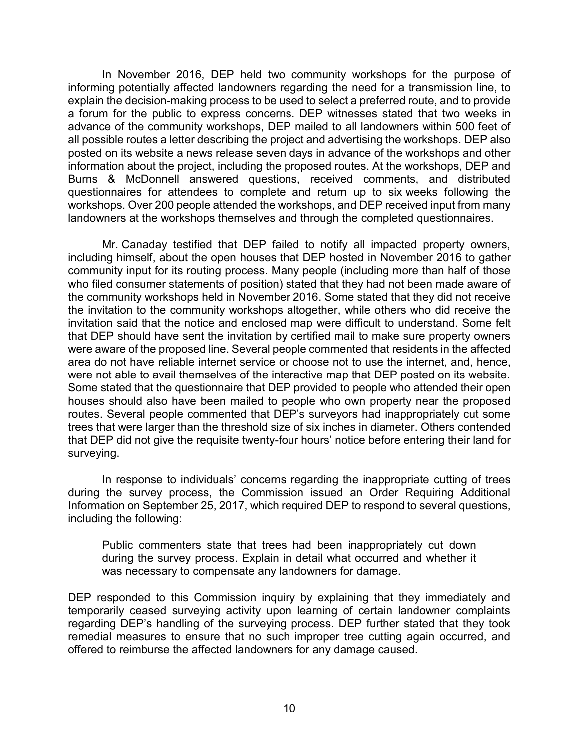In November 2016, DEP held two community workshops for the purpose of informing potentially affected landowners regarding the need for a transmission line, to explain the decision-making process to be used to select a preferred route, and to provide a forum for the public to express concerns. DEP witnesses stated that two weeks in advance of the community workshops, DEP mailed to all landowners within 500 feet of all possible routes a letter describing the project and advertising the workshops. DEP also posted on its website a news release seven days in advance of the workshops and other information about the project, including the proposed routes. At the workshops, DEP and Burns & McDonnell answered questions, received comments, and distributed questionnaires for attendees to complete and return up to six weeks following the workshops. Over 200 people attended the workshops, and DEP received input from many landowners at the workshops themselves and through the completed questionnaires.

Mr. Canaday testified that DEP failed to notify all impacted property owners, including himself, about the open houses that DEP hosted in November 2016 to gather community input for its routing process. Many people (including more than half of those who filed consumer statements of position) stated that they had not been made aware of the community workshops held in November 2016. Some stated that they did not receive the invitation to the community workshops altogether, while others who did receive the invitation said that the notice and enclosed map were difficult to understand. Some felt that DEP should have sent the invitation by certified mail to make sure property owners were aware of the proposed line. Several people commented that residents in the affected area do not have reliable internet service or choose not to use the internet, and, hence, were not able to avail themselves of the interactive map that DEP posted on its website. Some stated that the questionnaire that DEP provided to people who attended their open houses should also have been mailed to people who own property near the proposed routes. Several people commented that DEP's surveyors had inappropriately cut some trees that were larger than the threshold size of six inches in diameter. Others contended that DEP did not give the requisite twenty-four hours' notice before entering their land for surveying.

In response to individuals' concerns regarding the inappropriate cutting of trees during the survey process, the Commission issued an Order Requiring Additional Information on September 25, 2017, which required DEP to respond to several questions, including the following:

Public commenters state that trees had been inappropriately cut down during the survey process. Explain in detail what occurred and whether it was necessary to compensate any landowners for damage.

DEP responded to this Commission inquiry by explaining that they immediately and temporarily ceased surveying activity upon learning of certain landowner complaints regarding DEP's handling of the surveying process. DEP further stated that they took remedial measures to ensure that no such improper tree cutting again occurred, and offered to reimburse the affected landowners for any damage caused.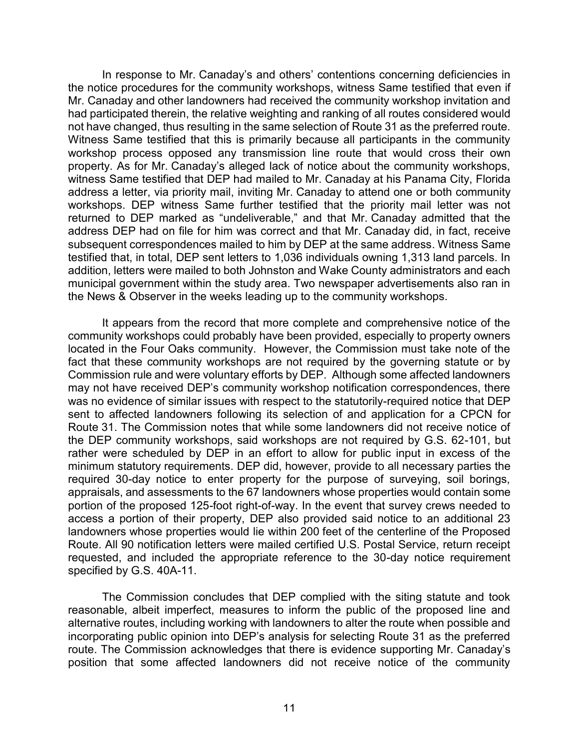In response to Mr. Canaday's and others' contentions concerning deficiencies in the notice procedures for the community workshops, witness Same testified that even if Mr. Canaday and other landowners had received the community workshop invitation and had participated therein, the relative weighting and ranking of all routes considered would not have changed, thus resulting in the same selection of Route 31 as the preferred route. Witness Same testified that this is primarily because all participants in the community workshop process opposed any transmission line route that would cross their own property. As for Mr. Canaday's alleged lack of notice about the community workshops, witness Same testified that DEP had mailed to Mr. Canaday at his Panama City, Florida address a letter, via priority mail, inviting Mr. Canaday to attend one or both community workshops. DEP witness Same further testified that the priority mail letter was not returned to DEP marked as "undeliverable," and that Mr. Canaday admitted that the address DEP had on file for him was correct and that Mr. Canaday did, in fact, receive subsequent correspondences mailed to him by DEP at the same address. Witness Same testified that, in total, DEP sent letters to 1,036 individuals owning 1,313 land parcels. In addition, letters were mailed to both Johnston and Wake County administrators and each municipal government within the study area. Two newspaper advertisements also ran in the News & Observer in the weeks leading up to the community workshops.

It appears from the record that more complete and comprehensive notice of the community workshops could probably have been provided, especially to property owners located in the Four Oaks community. However, the Commission must take note of the fact that these community workshops are not required by the governing statute or by Commission rule and were voluntary efforts by DEP. Although some affected landowners may not have received DEP's community workshop notification correspondences, there was no evidence of similar issues with respect to the statutorily-required notice that DEP sent to affected landowners following its selection of and application for a CPCN for Route 31. The Commission notes that while some landowners did not receive notice of the DEP community workshops, said workshops are not required by G.S. 62-101, but rather were scheduled by DEP in an effort to allow for public input in excess of the minimum statutory requirements. DEP did, however, provide to all necessary parties the required 30-day notice to enter property for the purpose of surveying, soil borings, appraisals, and assessments to the 67 landowners whose properties would contain some portion of the proposed 125-foot right-of-way. In the event that survey crews needed to access a portion of their property, DEP also provided said notice to an additional 23 landowners whose properties would lie within 200 feet of the centerline of the Proposed Route. All 90 notification letters were mailed certified U.S. Postal Service, return receipt requested, and included the appropriate reference to the 30-day notice requirement specified by G.S. 40A-11.

The Commission concludes that DEP complied with the siting statute and took reasonable, albeit imperfect, measures to inform the public of the proposed line and alternative routes, including working with landowners to alter the route when possible and incorporating public opinion into DEP's analysis for selecting Route 31 as the preferred route. The Commission acknowledges that there is evidence supporting Mr. Canaday's position that some affected landowners did not receive notice of the community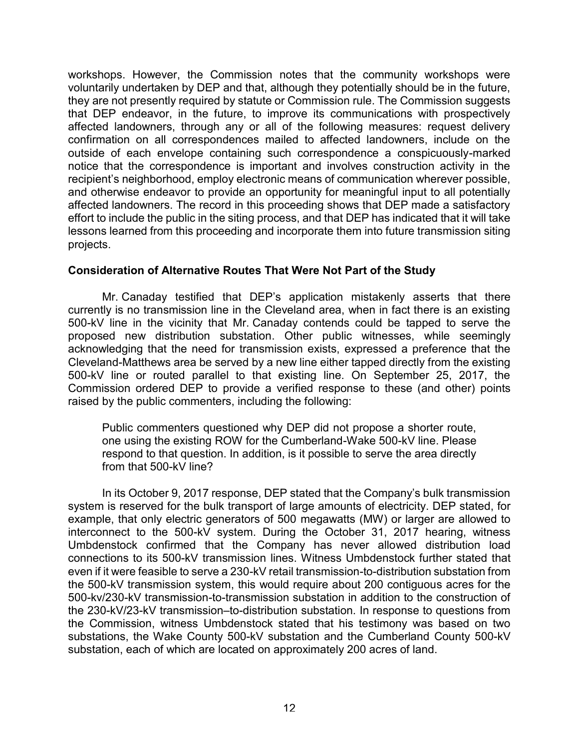workshops. However, the Commission notes that the community workshops were voluntarily undertaken by DEP and that, although they potentially should be in the future, they are not presently required by statute or Commission rule. The Commission suggests that DEP endeavor, in the future, to improve its communications with prospectively affected landowners, through any or all of the following measures: request delivery confirmation on all correspondences mailed to affected landowners, include on the outside of each envelope containing such correspondence a conspicuously-marked notice that the correspondence is important and involves construction activity in the recipient's neighborhood, employ electronic means of communication wherever possible, and otherwise endeavor to provide an opportunity for meaningful input to all potentially affected landowners. The record in this proceeding shows that DEP made a satisfactory effort to include the public in the siting process, and that DEP has indicated that it will take lessons learned from this proceeding and incorporate them into future transmission siting projects.

### **Consideration of Alternative Routes That Were Not Part of the Study**

Mr. Canaday testified that DEP's application mistakenly asserts that there currently is no transmission line in the Cleveland area, when in fact there is an existing 500-kV line in the vicinity that Mr. Canaday contends could be tapped to serve the proposed new distribution substation. Other public witnesses, while seemingly acknowledging that the need for transmission exists, expressed a preference that the Cleveland-Matthews area be served by a new line either tapped directly from the existing 500-kV line or routed parallel to that existing line. On September 25, 2017, the Commission ordered DEP to provide a verified response to these (and other) points raised by the public commenters, including the following:

Public commenters questioned why DEP did not propose a shorter route, one using the existing ROW for the Cumberland-Wake 500-kV line. Please respond to that question. In addition, is it possible to serve the area directly from that 500-kV line?

In its October 9, 2017 response, DEP stated that the Company's bulk transmission system is reserved for the bulk transport of large amounts of electricity. DEP stated, for example, that only electric generators of 500 megawatts (MW) or larger are allowed to interconnect to the 500-kV system. During the October 31, 2017 hearing, witness Umbdenstock confirmed that the Company has never allowed distribution load connections to its 500-kV transmission lines. Witness Umbdenstock further stated that even if it were feasible to serve a 230-kV retail transmission-to-distribution substation from the 500-kV transmission system, this would require about 200 contiguous acres for the 500-kv/230-kV transmission-to-transmission substation in addition to the construction of the 230-kV/23-kV transmission–to-distribution substation. In response to questions from the Commission, witness Umbdenstock stated that his testimony was based on two substations, the Wake County 500-kV substation and the Cumberland County 500-kV substation, each of which are located on approximately 200 acres of land.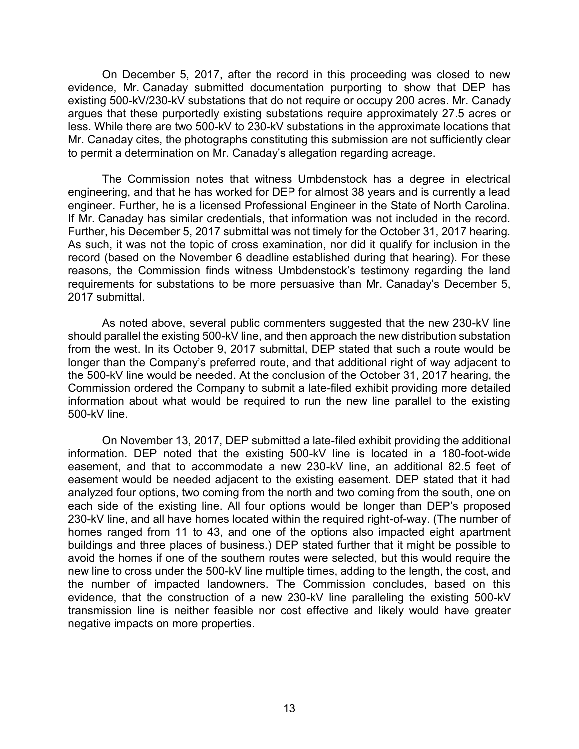On December 5, 2017, after the record in this proceeding was closed to new evidence, Mr. Canaday submitted documentation purporting to show that DEP has existing 500-kV/230-kV substations that do not require or occupy 200 acres. Mr. Canady argues that these purportedly existing substations require approximately 27.5 acres or less. While there are two 500-kV to 230-kV substations in the approximate locations that Mr. Canaday cites, the photographs constituting this submission are not sufficiently clear to permit a determination on Mr. Canaday's allegation regarding acreage.

The Commission notes that witness Umbdenstock has a degree in electrical engineering, and that he has worked for DEP for almost 38 years and is currently a lead engineer. Further, he is a licensed Professional Engineer in the State of North Carolina. If Mr. Canaday has similar credentials, that information was not included in the record. Further, his December 5, 2017 submittal was not timely for the October 31, 2017 hearing. As such, it was not the topic of cross examination, nor did it qualify for inclusion in the record (based on the November 6 deadline established during that hearing). For these reasons, the Commission finds witness Umbdenstock's testimony regarding the land requirements for substations to be more persuasive than Mr. Canaday's December 5, 2017 submittal.

As noted above, several public commenters suggested that the new 230-kV line should parallel the existing 500-kV line, and then approach the new distribution substation from the west. In its October 9, 2017 submittal, DEP stated that such a route would be longer than the Company's preferred route, and that additional right of way adjacent to the 500-kV line would be needed. At the conclusion of the October 31, 2017 hearing, the Commission ordered the Company to submit a late-filed exhibit providing more detailed information about what would be required to run the new line parallel to the existing 500-kV line.

On November 13, 2017, DEP submitted a late-filed exhibit providing the additional information. DEP noted that the existing 500-kV line is located in a 180-foot-wide easement, and that to accommodate a new 230-kV line, an additional 82.5 feet of easement would be needed adjacent to the existing easement. DEP stated that it had analyzed four options, two coming from the north and two coming from the south, one on each side of the existing line. All four options would be longer than DEP's proposed 230-kV line, and all have homes located within the required right-of-way. (The number of homes ranged from 11 to 43, and one of the options also impacted eight apartment buildings and three places of business.) DEP stated further that it might be possible to avoid the homes if one of the southern routes were selected, but this would require the new line to cross under the 500-kV line multiple times, adding to the length, the cost, and the number of impacted landowners. The Commission concludes, based on this evidence, that the construction of a new 230-kV line paralleling the existing 500-kV transmission line is neither feasible nor cost effective and likely would have greater negative impacts on more properties.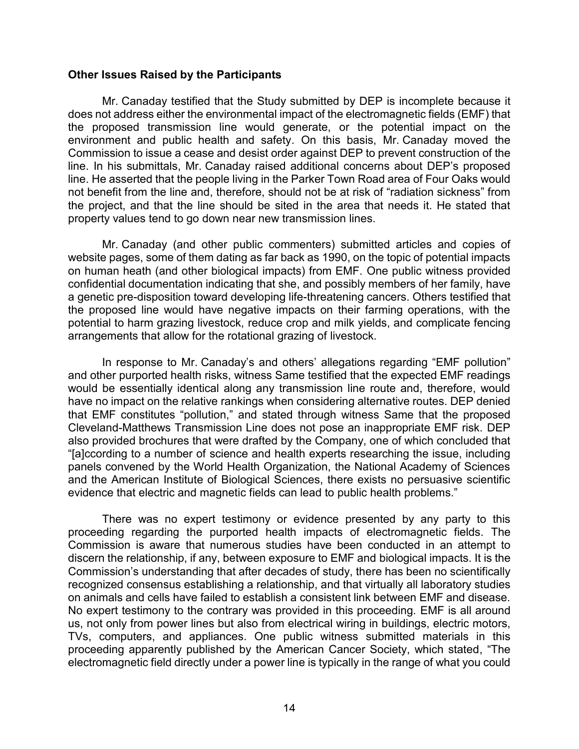#### **Other Issues Raised by the Participants**

Mr. Canaday testified that the Study submitted by DEP is incomplete because it does not address either the environmental impact of the electromagnetic fields (EMF) that the proposed transmission line would generate, or the potential impact on the environment and public health and safety. On this basis, Mr. Canaday moved the Commission to issue a cease and desist order against DEP to prevent construction of the line. In his submittals, Mr. Canaday raised additional concerns about DEP's proposed line. He asserted that the people living in the Parker Town Road area of Four Oaks would not benefit from the line and, therefore, should not be at risk of "radiation sickness" from the project, and that the line should be sited in the area that needs it. He stated that property values tend to go down near new transmission lines.

Mr. Canaday (and other public commenters) submitted articles and copies of website pages, some of them dating as far back as 1990, on the topic of potential impacts on human heath (and other biological impacts) from EMF. One public witness provided confidential documentation indicating that she, and possibly members of her family, have a genetic pre-disposition toward developing life-threatening cancers. Others testified that the proposed line would have negative impacts on their farming operations, with the potential to harm grazing livestock, reduce crop and milk yields, and complicate fencing arrangements that allow for the rotational grazing of livestock.

In response to Mr. Canaday's and others' allegations regarding "EMF pollution" and other purported health risks, witness Same testified that the expected EMF readings would be essentially identical along any transmission line route and, therefore, would have no impact on the relative rankings when considering alternative routes. DEP denied that EMF constitutes "pollution," and stated through witness Same that the proposed Cleveland-Matthews Transmission Line does not pose an inappropriate EMF risk. DEP also provided brochures that were drafted by the Company, one of which concluded that "[a]ccording to a number of science and health experts researching the issue, including panels convened by the World Health Organization, the National Academy of Sciences and the American Institute of Biological Sciences, there exists no persuasive scientific evidence that electric and magnetic fields can lead to public health problems."

There was no expert testimony or evidence presented by any party to this proceeding regarding the purported health impacts of electromagnetic fields. The Commission is aware that numerous studies have been conducted in an attempt to discern the relationship, if any, between exposure to EMF and biological impacts. It is the Commission's understanding that after decades of study, there has been no scientifically recognized consensus establishing a relationship, and that virtually all laboratory studies on animals and cells have failed to establish a consistent link between EMF and disease. No expert testimony to the contrary was provided in this proceeding. EMF is all around us, not only from power lines but also from electrical wiring in buildings, electric motors, TVs, computers, and appliances. One public witness submitted materials in this proceeding apparently published by the American Cancer Society, which stated, "The electromagnetic field directly under a power line is typically in the range of what you could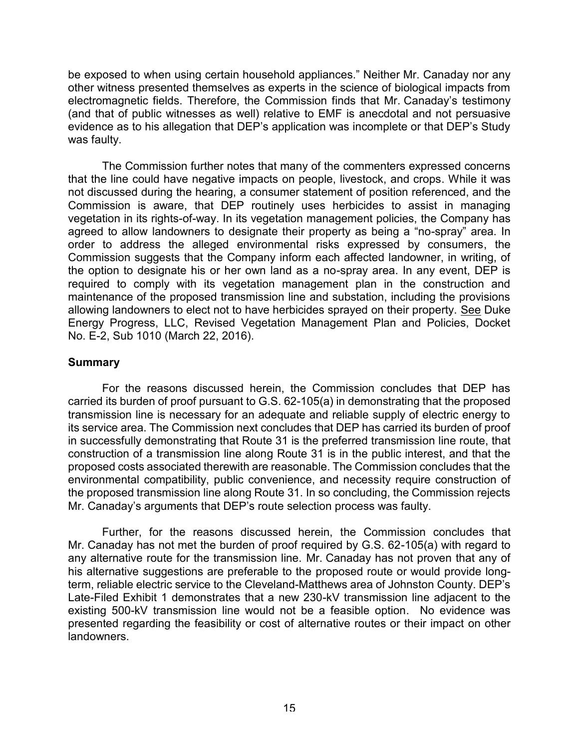be exposed to when using certain household appliances." Neither Mr. Canaday nor any other witness presented themselves as experts in the science of biological impacts from electromagnetic fields. Therefore, the Commission finds that Mr. Canaday's testimony (and that of public witnesses as well) relative to EMF is anecdotal and not persuasive evidence as to his allegation that DEP's application was incomplete or that DEP's Study was faulty.

The Commission further notes that many of the commenters expressed concerns that the line could have negative impacts on people, livestock, and crops. While it was not discussed during the hearing, a consumer statement of position referenced, and the Commission is aware, that DEP routinely uses herbicides to assist in managing vegetation in its rights-of-way. In its vegetation management policies, the Company has agreed to allow landowners to designate their property as being a "no-spray" area. In order to address the alleged environmental risks expressed by consumers, the Commission suggests that the Company inform each affected landowner, in writing, of the option to designate his or her own land as a no-spray area. In any event, DEP is required to comply with its vegetation management plan in the construction and maintenance of the proposed transmission line and substation, including the provisions allowing landowners to elect not to have herbicides sprayed on their property. See Duke Energy Progress, LLC, Revised Vegetation Management Plan and Policies, Docket No. E-2, Sub 1010 (March 22, 2016).

# **Summary**

For the reasons discussed herein, the Commission concludes that DEP has carried its burden of proof pursuant to G.S. 62-105(a) in demonstrating that the proposed transmission line is necessary for an adequate and reliable supply of electric energy to its service area. The Commission next concludes that DEP has carried its burden of proof in successfully demonstrating that Route 31 is the preferred transmission line route, that construction of a transmission line along Route 31 is in the public interest, and that the proposed costs associated therewith are reasonable. The Commission concludes that the environmental compatibility, public convenience, and necessity require construction of the proposed transmission line along Route 31. In so concluding, the Commission rejects Mr. Canaday's arguments that DEP's route selection process was faulty.

Further, for the reasons discussed herein, the Commission concludes that Mr. Canaday has not met the burden of proof required by G.S. 62-105(a) with regard to any alternative route for the transmission line. Mr. Canaday has not proven that any of his alternative suggestions are preferable to the proposed route or would provide longterm, reliable electric service to the Cleveland-Matthews area of Johnston County. DEP's Late-Filed Exhibit 1 demonstrates that a new 230-kV transmission line adjacent to the existing 500-kV transmission line would not be a feasible option. No evidence was presented regarding the feasibility or cost of alternative routes or their impact on other landowners.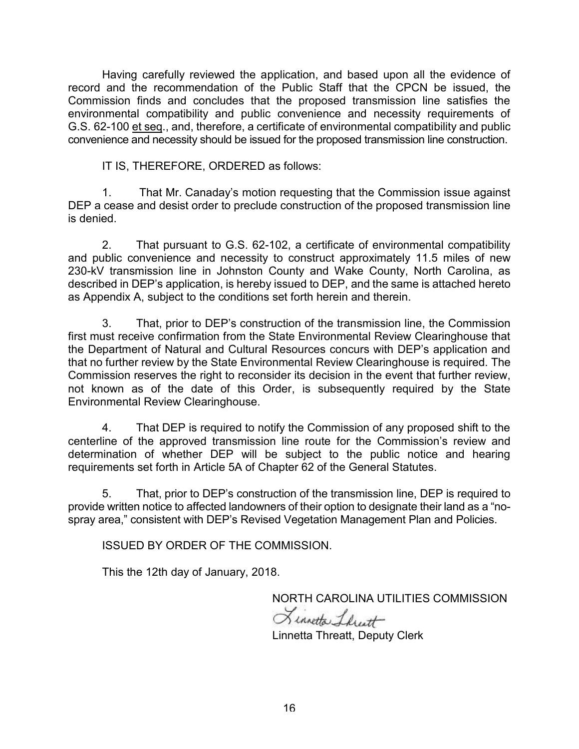Having carefully reviewed the application, and based upon all the evidence of record and the recommendation of the Public Staff that the CPCN be issued, the Commission finds and concludes that the proposed transmission line satisfies the environmental compatibility and public convenience and necessity requirements of G.S. 62-100 et seq., and, therefore, a certificate of environmental compatibility and public convenience and necessity should be issued for the proposed transmission line construction.

IT IS, THEREFORE, ORDERED as follows:

1. That Mr. Canaday's motion requesting that the Commission issue against DEP a cease and desist order to preclude construction of the proposed transmission line is denied.

2. That pursuant to G.S. 62-102, a certificate of environmental compatibility and public convenience and necessity to construct approximately 11.5 miles of new 230-kV transmission line in Johnston County and Wake County, North Carolina, as described in DEP's application, is hereby issued to DEP, and the same is attached hereto as Appendix A, subject to the conditions set forth herein and therein.

3. That, prior to DEP's construction of the transmission line, the Commission first must receive confirmation from the State Environmental Review Clearinghouse that the Department of Natural and Cultural Resources concurs with DEP's application and that no further review by the State Environmental Review Clearinghouse is required. The Commission reserves the right to reconsider its decision in the event that further review, not known as of the date of this Order, is subsequently required by the State Environmental Review Clearinghouse.

4. That DEP is required to notify the Commission of any proposed shift to the centerline of the approved transmission line route for the Commission's review and determination of whether DEP will be subject to the public notice and hearing requirements set forth in Article 5A of Chapter 62 of the General Statutes.

5. That, prior to DEP's construction of the transmission line, DEP is required to provide written notice to affected landowners of their option to designate their land as a "nospray area," consistent with DEP's Revised Vegetation Management Plan and Policies.

ISSUED BY ORDER OF THE COMMISSION.

This the 12th day of January, 2018.

NORTH CAROLINA UTILITIES COMMISSION

Linnetta Librart

Linnetta Threatt, Deputy Clerk